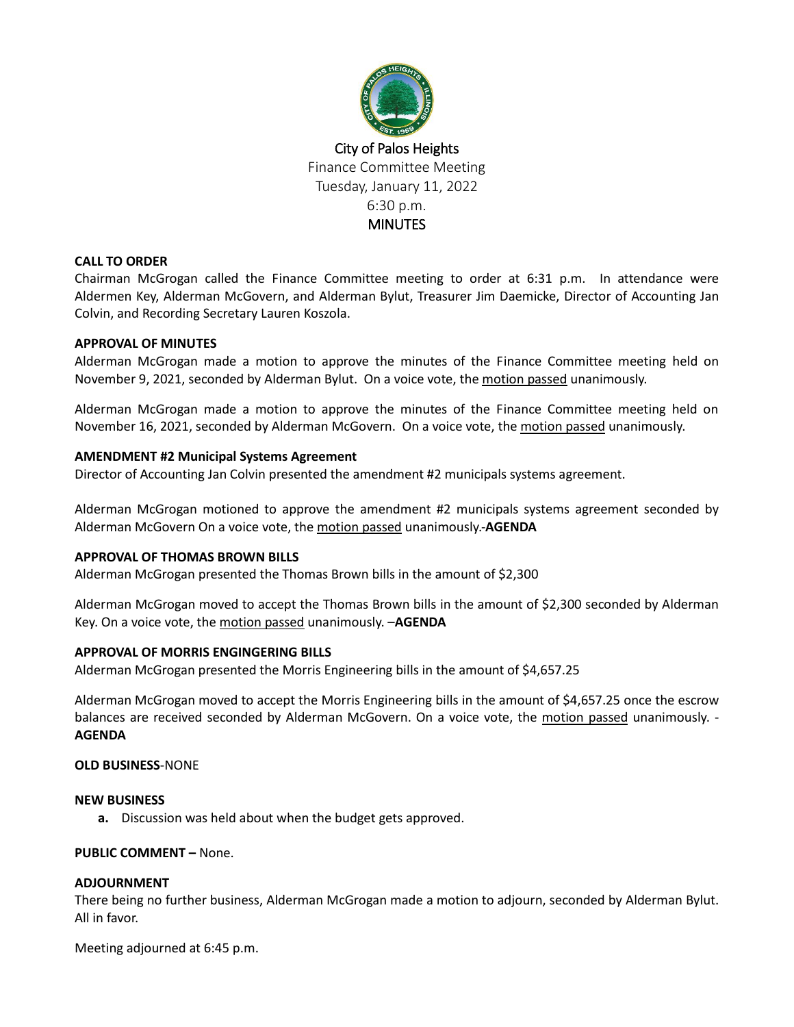

# **CALL TO ORDER**

Chairman McGrogan called the Finance Committee meeting to order at 6:31 p.m. In attendance were Aldermen Key, Alderman McGovern, and Alderman Bylut, Treasurer Jim Daemicke, Director of Accounting Jan Colvin, and Recording Secretary Lauren Koszola.

# **APPROVAL OF MINUTES**

Alderman McGrogan made a motion to approve the minutes of the Finance Committee meeting held on November 9, 2021, seconded by Alderman Bylut. On a voice vote, the motion passed unanimously.

Alderman McGrogan made a motion to approve the minutes of the Finance Committee meeting held on November 16, 2021, seconded by Alderman McGovern. On a voice vote, the motion passed unanimously.

# **AMENDMENT #2 Municipal Systems Agreement**

Director of Accounting Jan Colvin presented the amendment #2 municipals systems agreement.

Alderman McGrogan motioned to approve the amendment #2 municipals systems agreement seconded by Alderman McGovern On a voice vote, the motion passed unanimously.-**AGENDA**

# **APPROVAL OF THOMAS BROWN BILLS**

Alderman McGrogan presented the Thomas Brown bills in the amount of \$2,300

Alderman McGrogan moved to accept the Thomas Brown bills in the amount of \$2,300 seconded by Alderman Key. On a voice vote, the motion passed unanimously. –**AGENDA**

# **APPROVAL OF MORRIS ENGINGERING BILLS**

Alderman McGrogan presented the Morris Engineering bills in the amount of \$4,657.25

Alderman McGrogan moved to accept the Morris Engineering bills in the amount of \$4,657.25 once the escrow balances are received seconded by Alderman McGovern. On a voice vote, the motion passed unanimously. -**AGENDA**

## **OLD BUSINESS**-NONE

## **NEW BUSINESS**

**a.** Discussion was held about when the budget gets approved.

## **PUBLIC COMMENT –** None.

## **ADJOURNMENT**

There being no further business, Alderman McGrogan made a motion to adjourn, seconded by Alderman Bylut. All in favor.

Meeting adjourned at 6:45 p.m.